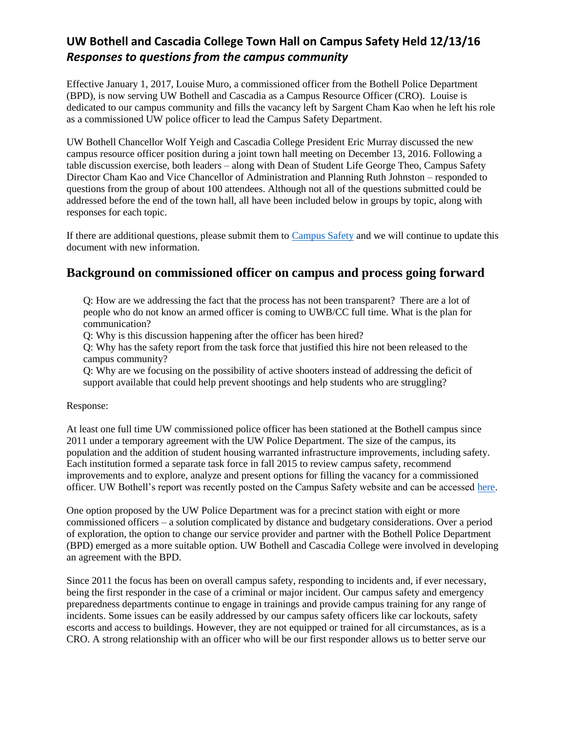Effective January 1, 2017, Louise Muro, a commissioned officer from the Bothell Police Department (BPD), is now serving UW Bothell and Cascadia as a Campus Resource Officer (CRO). Louise is dedicated to our campus community and fills the vacancy left by Sargent Cham Kao when he left his role as a commissioned UW police officer to lead the Campus Safety Department.

UW Bothell Chancellor Wolf Yeigh and Cascadia College President Eric Murray discussed the new campus resource officer position during a joint town hall meeting on December 13, 2016. Following a table discussion exercise, both leaders – along with Dean of Student Life George Theo, Campus Safety Director Cham Kao and Vice Chancellor of Administration and Planning Ruth Johnston – responded to questions from the group of about 100 attendees. Although not all of the questions submitted could be addressed before the end of the town hall, all have been included below in groups by topic, along with responses for each topic.

If there are additional questions, please submit them to [Campus Safety](mailto:uwb-safety@uw.edu) and we will continue to update this document with new information.

## **Background on commissioned officer on campus and process going forward**

Q: How are we addressing the fact that the process has not been transparent? There are a lot of people who do not know an armed officer is coming to UWB/CC full time. What is the plan for communication?

Q: Why is this discussion happening after the officer has been hired?

Q: Why has the safety report from the task force that justified this hire not been released to the campus community?

Q: Why are we focusing on the possibility of active shooters instead of addressing the deficit of support available that could help prevent shootings and help students who are struggling?

### Response:

At least one full time UW commissioned police officer has been stationed at the Bothell campus since 2011 under a temporary agreement with the UW Police Department. The size of the campus, its population and the addition of student housing warranted infrastructure improvements, including safety. Each institution formed a separate task force in fall 2015 to review campus safety, recommend improvements and to explore, analyze and present options for filling the vacancy for a commissioned officer. UW Bothell's report was recently posted on the Campus Safety website and can be accessed [here.](http://www.uwb.edu/safety/safecampustaskforce)

One option proposed by the UW Police Department was for a precinct station with eight or more commissioned officers – a solution complicated by distance and budgetary considerations. Over a period of exploration, the option to change our service provider and partner with the Bothell Police Department (BPD) emerged as a more suitable option. UW Bothell and Cascadia College were involved in developing an agreement with the BPD.

Since 2011 the focus has been on overall campus safety, responding to incidents and, if ever necessary, being the first responder in the case of a criminal or major incident. Our campus safety and emergency preparedness departments continue to engage in trainings and provide campus training for any range of incidents. Some issues can be easily addressed by our campus safety officers like car lockouts, safety escorts and access to buildings. However, they are not equipped or trained for all circumstances, as is a CRO. A strong relationship with an officer who will be our first responder allows us to better serve our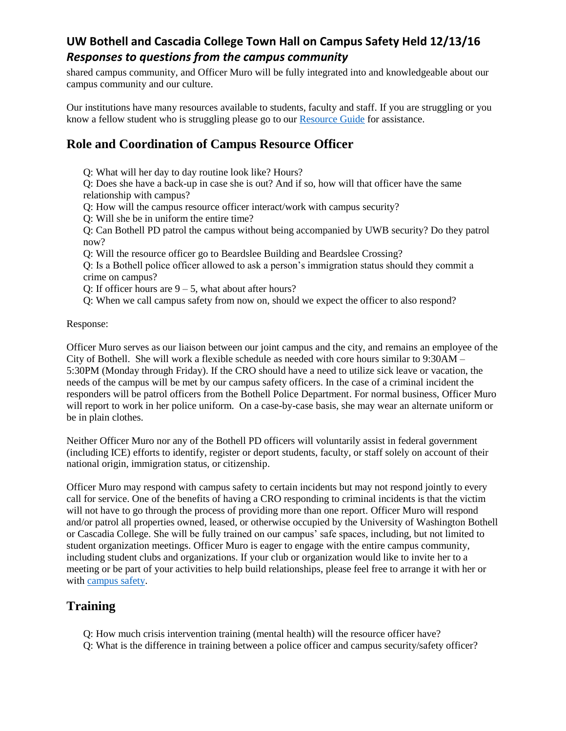shared campus community, and Officer Muro will be fully integrated into and knowledgeable about our campus community and our culture.

Our institutions have many resources available to students, faculty and staff. If you are struggling or you know a fellow student who is struggling please go to our [Resource Guide](http://www.uwb.edu/safety/cc-uwb-resource-guide-cc-reviewed) for assistance.

# **Role and Coordination of Campus Resource Officer**

Q: What will her day to day routine look like? Hours?

Q: Does she have a back-up in case she is out? And if so, how will that officer have the same relationship with campus?

Q: How will the campus resource officer interact/work with campus security?

Q: Will she be in uniform the entire time?

Q: Can Bothell PD patrol the campus without being accompanied by UWB security? Do they patrol now?

Q: Will the resource officer go to Beardslee Building and Beardslee Crossing?

Q: Is a Bothell police officer allowed to ask a person's immigration status should they commit a crime on campus?

Q: If officer hours are  $9 - 5$ , what about after hours?

Q: When we call campus safety from now on, should we expect the officer to also respond?

Response:

Officer Muro serves as our liaison between our joint campus and the city, and remains an employee of the City of Bothell. She will work a flexible schedule as needed with core hours similar to 9:30AM – 5:30PM (Monday through Friday). If the CRO should have a need to utilize sick leave or vacation, the needs of the campus will be met by our campus safety officers. In the case of a criminal incident the responders will be patrol officers from the Bothell Police Department. For normal business, Officer Muro will report to work in her police uniform. On a case-by-case basis, she may wear an alternate uniform or be in plain clothes.

Neither Officer Muro nor any of the Bothell PD officers will voluntarily assist in federal government (including ICE) efforts to identify, register or deport students, faculty, or staff solely on account of their national origin, immigration status, or citizenship.

Officer Muro may respond with campus safety to certain incidents but may not respond jointly to every call for service. One of the benefits of having a CRO responding to criminal incidents is that the victim will not have to go through the process of providing more than one report. Officer Muro will respond and/or patrol all properties owned, leased, or otherwise occupied by the University of Washington Bothell or Cascadia College. She will be fully trained on our campus' safe spaces, including, but not limited to student organization meetings. Officer Muro is eager to engage with the entire campus community, including student clubs and organizations. If your club or organization would like to invite her to a meeting or be part of your activities to help build relationships, please feel free to arrange it with her or with [campus safety.](mailto:uwb-safety@uw.edu)

## **Training**

Q: How much crisis intervention training (mental health) will the resource officer have?

Q: What is the difference in training between a police officer and campus security/safety officer?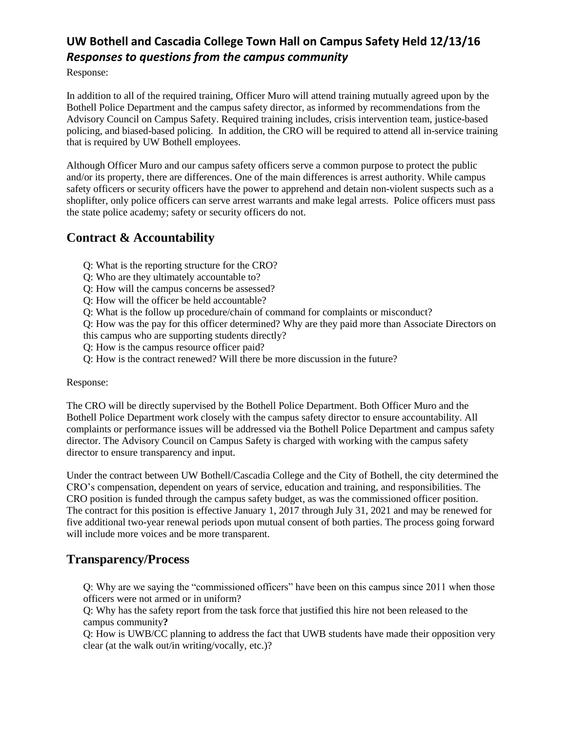Response:

In addition to all of the required training, Officer Muro will attend training mutually agreed upon by the Bothell Police Department and the campus safety director, as informed by recommendations from the Advisory Council on Campus Safety. Required training includes, crisis intervention team, justice-based policing, and biased-based policing. In addition, the CRO will be required to attend all in-service training that is required by UW Bothell employees.

Although Officer Muro and our campus safety officers serve a common purpose to protect the public and/or its property, there are differences. One of the main differences is arrest authority. While campus safety officers or security officers have the power to apprehend and detain non-violent suspects such as a shoplifter, only police officers can serve arrest warrants and make legal arrests. Police officers must pass the state police academy; safety or security officers do not.

# **Contract & Accountability**

- Q: What is the reporting structure for the CRO?
- Q: Who are they ultimately accountable to?
- Q: How will the campus concerns be assessed?
- Q: How will the officer be held accountable?
- Q: What is the follow up procedure/chain of command for complaints or misconduct?

Q: How was the pay for this officer determined? Why are they paid more than Associate Directors on

this campus who are supporting students directly?

- Q: How is the campus resource officer paid?
- Q: How is the contract renewed? Will there be more discussion in the future?

Response:

The CRO will be directly supervised by the Bothell Police Department. Both Officer Muro and the Bothell Police Department work closely with the campus safety director to ensure accountability. All complaints or performance issues will be addressed via the Bothell Police Department and campus safety director. The Advisory Council on Campus Safety is charged with working with the campus safety director to ensure transparency and input.

Under the contract between UW Bothell/Cascadia College and the City of Bothell, the city determined the CRO's compensation, dependent on years of service, education and training, and responsibilities. The CRO position is funded through the campus safety budget, as was the commissioned officer position. The contract for this position is effective January 1, 2017 through July 31, 2021 and may be renewed for five additional two-year renewal periods upon mutual consent of both parties. The process going forward will include more voices and be more transparent.

## **Transparency/Process**

Q: Why are we saying the "commissioned officers" have been on this campus since 2011 when those officers were not armed or in uniform?

Q: Why has the safety report from the task force that justified this hire not been released to the campus community**?**

Q: How is UWB/CC planning to address the fact that UWB students have made their opposition very clear (at the walk out/in writing/vocally, etc.)?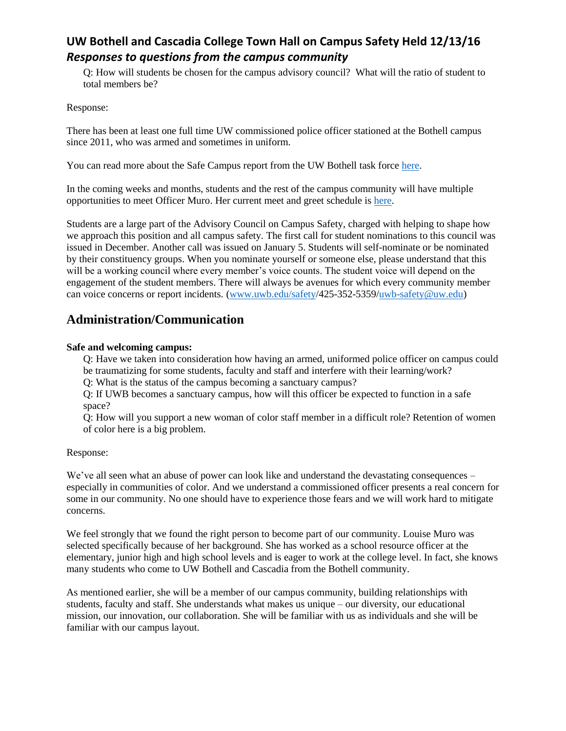Q: How will students be chosen for the campus advisory council? What will the ratio of student to total members be?

Response:

There has been at least one full time UW commissioned police officer stationed at the Bothell campus since 2011, who was armed and sometimes in uniform.

You can read more about the Safe Campus report from the UW Bothell task force [here.](http://www.uwb.edu/safety/safecampustaskforce)

In the coming weeks and months, students and the rest of the campus community will have multiple opportunities to meet Officer Muro. Her current meet and greet schedule is [here.](http://www.uwb.edu/safety/resourceofficer/meet-and-greet)

Students are a large part of the Advisory Council on Campus Safety, charged with helping to shape how we approach this position and all campus safety. The first call for student nominations to this council was issued in December. Another call was issued on January 5. Students will self-nominate or be nominated by their constituency groups. When you nominate yourself or someone else, please understand that this will be a working council where every member's voice counts. The student voice will depend on the engagement of the student members. There will always be avenues for which every community member can voice concerns or report incidents. [\(www.uwb.edu/safety/](http://www.uwb.edu/safety)425-352-5359[/uwb-safety@uw.edu\)](mailto:uwb-safety@uw.edu)

## **Administration/Communication**

### **Safe and welcoming campus:**

Q: Have we taken into consideration how having an armed, uniformed police officer on campus could be traumatizing for some students, faculty and staff and interfere with their learning/work?

Q: What is the status of the campus becoming a sanctuary campus?

Q: If UWB becomes a sanctuary campus, how will this officer be expected to function in a safe space?

Q: How will you support a new woman of color staff member in a difficult role? Retention of women of color here is a big problem.

### Response:

We've all seen what an abuse of power can look like and understand the devastating consequences – especially in communities of color. And we understand a commissioned officer presents a real concern for some in our community. No one should have to experience those fears and we will work hard to mitigate concerns.

We feel strongly that we found the right person to become part of our community. Louise Muro was selected specifically because of her background. She has worked as a school resource officer at the elementary, junior high and high school levels and is eager to work at the college level. In fact, she knows many students who come to UW Bothell and Cascadia from the Bothell community.

As mentioned earlier, she will be a member of our campus community, building relationships with students, faculty and staff. She understands what makes us unique – our diversity, our educational mission, our innovation, our collaboration. She will be familiar with us as individuals and she will be familiar with our campus layout.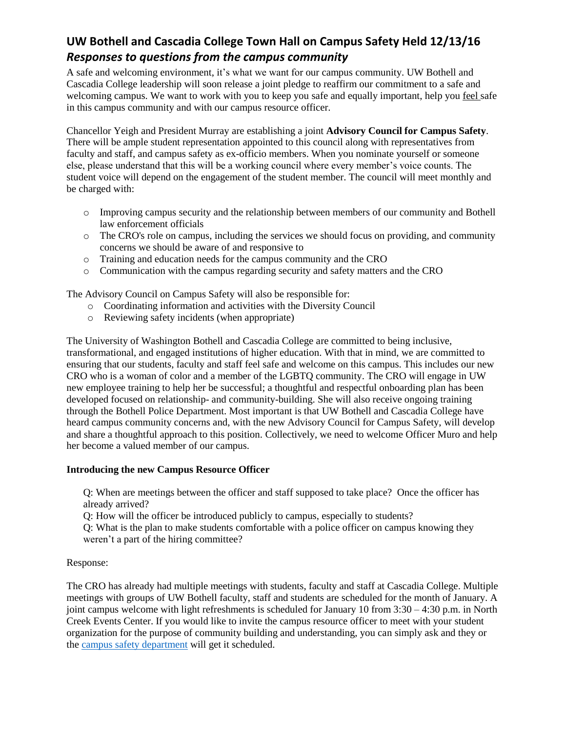A safe and welcoming environment, it's what we want for our campus community. UW Bothell and Cascadia College leadership will soon release a joint pledge to reaffirm our commitment to a safe and welcoming campus. We want to work with you to keep you safe and equally important, help you feel safe in this campus community and with our campus resource officer.

Chancellor Yeigh and President Murray are establishing a joint **Advisory Council for Campus Safety**. There will be ample student representation appointed to this council along with representatives from faculty and staff, and campus safety as ex-officio members. When you nominate yourself or someone else, please understand that this will be a working council where every member's voice counts. The student voice will depend on the engagement of the student member. The council will meet monthly and be charged with:

- o Improving campus security and the relationship between members of our community and Bothell law enforcement officials
- o The CRO's role on campus, including the services we should focus on providing, and community concerns we should be aware of and responsive to
- o Training and education needs for the campus community and the CRO
- o Communication with the campus regarding security and safety matters and the CRO

The Advisory Council on Campus Safety will also be responsible for:

- o Coordinating information and activities with the Diversity Council
- o Reviewing safety incidents (when appropriate)

The University of Washington Bothell and Cascadia College are committed to being inclusive, transformational, and engaged institutions of higher education. With that in mind, we are committed to ensuring that our students, faculty and staff feel safe and welcome on this campus. This includes our new CRO who is a woman of color and a member of the LGBTQ community. The CRO will engage in UW new employee training to help her be successful; a thoughtful and respectful onboarding plan has been developed focused on relationship- and community-building. She will also receive ongoing training through the Bothell Police Department. Most important is that UW Bothell and Cascadia College have heard campus community concerns and, with the new Advisory Council for Campus Safety, will develop and share a thoughtful approach to this position. Collectively, we need to welcome Officer Muro and help her become a valued member of our campus.

### **Introducing the new Campus Resource Officer**

Q: When are meetings between the officer and staff supposed to take place? Once the officer has already arrived?

Q: How will the officer be introduced publicly to campus, especially to students?

Q: What is the plan to make students comfortable with a police officer on campus knowing they weren't a part of the hiring committee?

## Response:

The CRO has already had multiple meetings with students, faculty and staff at Cascadia College. Multiple meetings with groups of UW Bothell faculty, staff and students are scheduled for the month of January. A joint campus welcome with light refreshments is scheduled for January 10 from  $3:30 - 4:30$  p.m. in North Creek Events Center. If you would like to invite the campus resource officer to meet with your student organization for the purpose of community building and understanding, you can simply ask and they or the [campus safety department](mailto:uwb-safety@uw.edu) will get it scheduled.